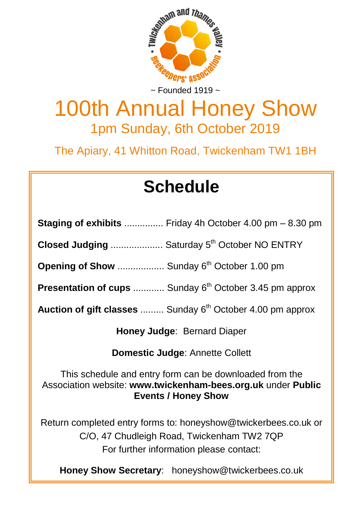

# 100th Annual Honey Show 1pm Sunday, 6th October 2019

The Apiary, 41 Whitton Road, Twickenham TW1 1BH

# **Schedule**

| <b>Staging of exhibits</b> Friday 4h October 4.00 pm – 8.30 pm |
|----------------------------------------------------------------|
|                                                                |

**Closed Judging .....................** Saturday 5<sup>th</sup> October NO ENTRY

**Opening of Show** ................... Sunday 6<sup>th</sup> October 1.00 pm

**Presentation of cups** ............ Sunday 6<sup>th</sup> October 3.45 pm approx

Auction of gift classes ......... Sunday 6<sup>th</sup> October 4.00 pm approx

**Honey Judge**: Bernard Diaper

**Domestic Judge**: Annette Collett

This schedule and entry form can be downloaded from the Association website: **www.twickenham-bees.org.uk** under **Public Events / Honey Show**

Return completed entry forms to: honeyshow@twickerbees.co.uk or C/O, 47 Chudleigh Road, Twickenham TW2 7QP For further information please contact:

**Honey Show Secretary**: honeyshow@twickerbees.co.uk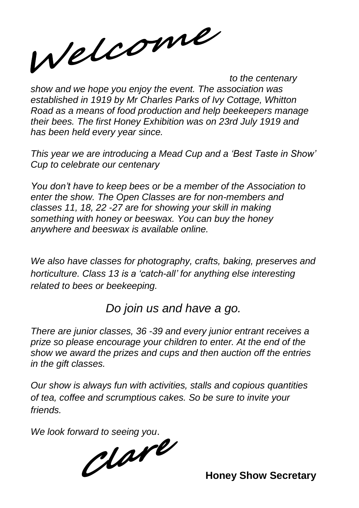Welcome

*to the centenary show and we hope you enjoy the event. The association was established in 1919 by Mr Charles Parks of Ivy Cottage, Whitton Road as a means of food production and help beekeepers manage their bees. The first Honey Exhibition was on 23rd July 1919 and has been held every year since.*

*This year we are introducing a Mead Cup and a 'Best Taste in Show' Cup to celebrate our centenary*

*You don't have to keep bees or be a member of the Association to enter the show. The Open Classes are for non-members and classes 11, 18, 22 -27 are for showing your skill in making something with honey or beeswax. You can buy the honey anywhere and beeswax is available online.* 

*We also have classes for photography, crafts, baking, preserves and horticulture. Class 13 is a 'catch-all' for anything else interesting related to bees or beekeeping.* 

## *Do join us and have a go.*

*There are junior classes, 36 -39 and every junior entrant receives a prize so please encourage your children to enter. At the end of the show we award the prizes and cups and then auction off the entries in the gift classes.*

*Our show is always fun with activities, stalls and copious quantities of tea, coffee and scrumptious cakes. So be sure to invite your friends.*

*We look forward to seeing you*.

**Honey Show Secretary**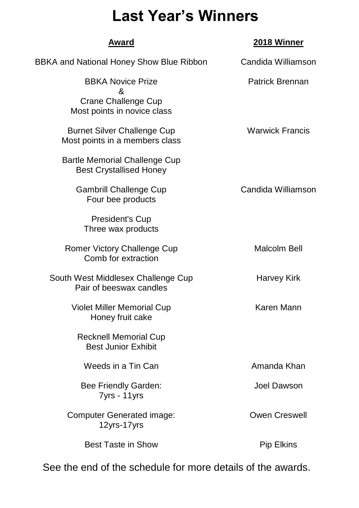## **Last Year's Winners**

| Award                                                                | 2018 Winner            |  |  |
|----------------------------------------------------------------------|------------------------|--|--|
| BBKA and National Honey Show Blue Ribbon                             | Candida Williamson     |  |  |
| <b>BBKA Novice Prize</b><br>&                                        | Patrick Brennan        |  |  |
| Crane Challenge Cup<br>Most points in novice class                   |                        |  |  |
| <b>Burnet Silver Challenge Cup</b><br>Most points in a members class | <b>Warwick Francis</b> |  |  |
| Bartle Memorial Challenge Cup<br><b>Best Crystallised Honey</b>      |                        |  |  |
| <b>Gambrill Challenge Cup</b><br>Four bee products                   | Candida Williamson     |  |  |
| President's Cup<br>Three wax products                                |                        |  |  |
| Romer Victory Challenge Cup<br>Comb for extraction                   | Malcolm Bell           |  |  |
| South West Middlesex Challenge Cup<br>Pair of beeswax candles        | <b>Harvey Kirk</b>     |  |  |
| Violet Miller Memorial Cup<br>Honey fruit cake                       | Karen Mann             |  |  |
| <b>Recknell Memorial Cup</b><br><b>Best Junior Exhibit</b>           |                        |  |  |
| Weeds in a Tin Can                                                   | Amanda Khan            |  |  |
| Bee Friendly Garden:<br>7yrs - 11yrs                                 | Joel Dawson            |  |  |
| <b>Computer Generated image:</b><br>12yrs-17yrs                      | Owen Creswell          |  |  |
| <b>Best Taste in Show</b>                                            | Pip Elkins             |  |  |
|                                                                      |                        |  |  |

See the end of the schedule for more details of the awards.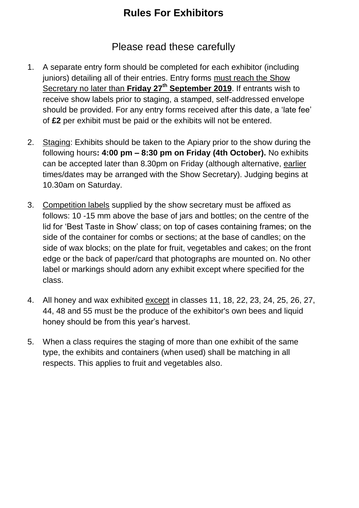## **Rules For Exhibitors**

#### Please read these carefully

- 1. A separate entry form should be completed for each exhibitor (including juniors) detailing all of their entries. Entry forms must reach the Show Secretary no later than **Friday 27th September 2019**. If entrants wish to receive show labels prior to staging, a stamped, self-addressed envelope should be provided. For any entry forms received after this date, a 'late fee' of **£2** per exhibit must be paid or the exhibits will not be entered.
- 2. Staging: Exhibits should be taken to the Apiary prior to the show during the following hours**: 4:00 pm – 8:30 pm on Friday (4th October).** No exhibits can be accepted later than 8.30pm on Friday (although alternative, earlier times/dates may be arranged with the Show Secretary). Judging begins at 10.30am on Saturday.
- 3. Competition labels supplied by the show secretary must be affixed as follows: 10 -15 mm above the base of jars and bottles; on the centre of the lid for 'Best Taste in Show' class; on top of cases containing frames; on the side of the container for combs or sections; at the base of candles; on the side of wax blocks; on the plate for fruit, vegetables and cakes; on the front edge or the back of paper/card that photographs are mounted on. No other label or markings should adorn any exhibit except where specified for the class.
- 4. All honey and wax exhibited except in classes 11, 18, 22, 23, 24, 25, 26, 27, 44, 48 and 55 must be the produce of the exhibitor's own bees and liquid honey should be from this year's harvest.
- 5. When a class requires the staging of more than one exhibit of the same type, the exhibits and containers (when used) shall be matching in all respects. This applies to fruit and vegetables also.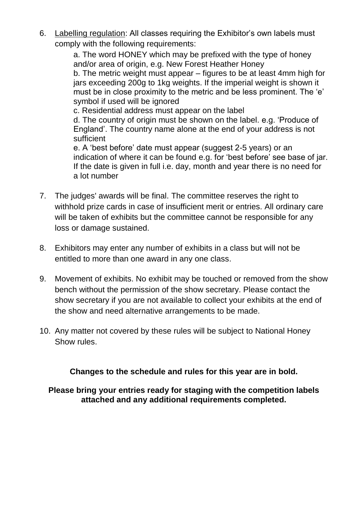6. Labelling regulation: All classes requiring the Exhibitor's own labels must comply with the following requirements:

> a. The word HONEY which may be prefixed with the type of honey and/or area of origin, e.g. New Forest Heather Honey b. The metric weight must appear – figures to be at least 4mm high for jars exceeding 200g to 1kg weights. If the imperial weight is shown it must be in close proximity to the metric and be less prominent. The 'e' symbol if used will be ignored

c. Residential address must appear on the label

d. The country of origin must be shown on the label. e.g. 'Produce of England'. The country name alone at the end of your address is not sufficient

e. A 'best before' date must appear (suggest 2-5 years) or an indication of where it can be found e.g. for 'best before' see base of jar. If the date is given in full i.e. day, month and year there is no need for a lot number

- 7. The judges' awards will be final. The committee reserves the right to withhold prize cards in case of insufficient merit or entries. All ordinary care will be taken of exhibits but the committee cannot be responsible for any loss or damage sustained.
- 8. Exhibitors may enter any number of exhibits in a class but will not be entitled to more than one award in any one class.
- 9. Movement of exhibits. No exhibit may be touched or removed from the show bench without the permission of the show secretary. Please contact the show secretary if you are not available to collect your exhibits at the end of the show and need alternative arrangements to be made.
- 10. Any matter not covered by these rules will be subject to National Honey Show rules.

**Changes to the schedule and rules for this year are in bold.**

**Please bring your entries ready for staging with the competition labels attached and any additional requirements completed.**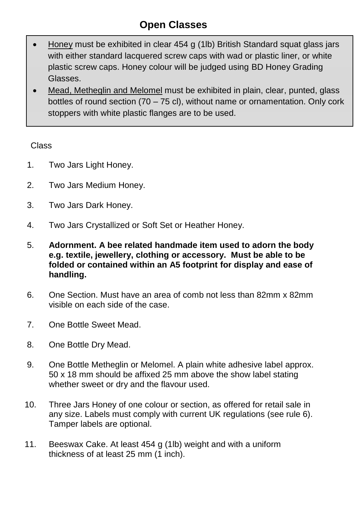## **Open Classes**

- Honey must be exhibited in clear 454 g (1lb) British Standard squat glass jars with either standard lacquered screw caps with wad or plastic liner, or white plastic screw caps. Honey colour will be judged using BD Honey Grading Glasses.
- Mead, Metheglin and Melomel must be exhibited in plain, clear, punted, glass bottles of round section  $(70 - 75 \text{ cl})$ , without name or ornamentation. Only cork stoppers with white plastic flanges are to be used.

#### Class

- 1. Two Jars Light Honey.
- 2. Two Jars Medium Honey.
- 3. Two Jars Dark Honey.
- 4. Two Jars Crystallized or Soft Set or Heather Honey.
- 5. **Adornment. A bee related handmade item used to adorn the body e.g. textile, jewellery, clothing or accessory. Must be able to be folded or contained within an A5 footprint for display and ease of handling.**
- 6. One Section. Must have an area of comb not less than 82mm x 82mm visible on each side of the case.
- 7. One Bottle Sweet Mead.
- 8. One Bottle Dry Mead.
- 9. One Bottle Metheglin or Melomel. A plain white adhesive label approx. 50 x 18 mm should be affixed 25 mm above the show label stating whether sweet or dry and the flavour used.
- 10. Three Jars Honey of one colour or section, as offered for retail sale in any size. Labels must comply with current UK regulations (see rule 6). Tamper labels are optional.
- 11. Beeswax Cake. At least 454 g (1lb) weight and with a uniform thickness of at least 25 mm (1 inch).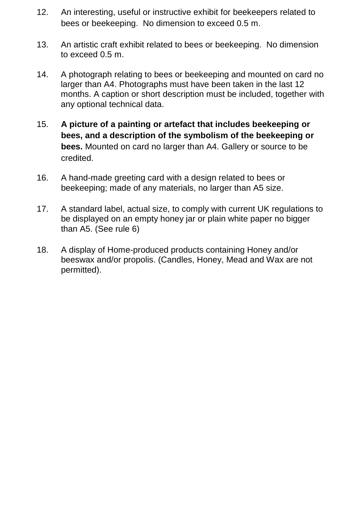- 12. An interesting, useful or instructive exhibit for beekeepers related to bees or beekeeping. No dimension to exceed 0.5 m.
- 13. An artistic craft exhibit related to bees or beekeeping. No dimension to exceed 0.5 m.
- 14. A photograph relating to bees or beekeeping and mounted on card no larger than A4. Photographs must have been taken in the last 12 months. A caption or short description must be included, together with any optional technical data.
- 15. **A picture of a painting or artefact that includes beekeeping or bees, and a description of the symbolism of the beekeeping or bees.** Mounted on card no larger than A4. Gallery or source to be credited.
- 16. A hand-made greeting card with a design related to bees or beekeeping; made of any materials, no larger than A5 size.
- 17. A standard label, actual size, to comply with current UK regulations to be displayed on an empty honey jar or plain white paper no bigger than A5. (See rule 6)
- 18. A display of Home-produced products containing Honey and/or beeswax and/or propolis. (Candles, Honey, Mead and Wax are not permitted).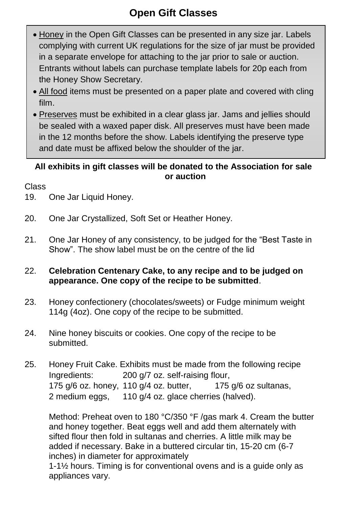## **Open Gift Classes**

- Honey in the Open Gift Classes can be presented in any size jar. Labels complying with current UK regulations for the size of jar must be provided in a separate envelope for attaching to the jar prior to sale or auction. Entrants without labels can purchase template labels for 20p each from the Honey Show Secretary.
- All food items must be presented on a paper plate and covered with cling film.
- Preserves must be exhibited in a clear glass jar. Jams and jellies should be sealed with a waxed paper disk. All preserves must have been made in the 12 months before the show. Labels identifying the preserve type and date must be affixed below the shoulder of the jar.

#### **All exhibits in gift classes will be donated to the Association for sale or auction**

Class

- 19. One Jar Liquid Honey.
- 20. One Jar Crystallized, Soft Set or Heather Honey.
- 21. One Jar Honey of any consistency, to be judged for the "Best Taste in Show". The show label must be on the centre of the lid

#### 22. **Celebration Centenary Cake, to any recipe and to be judged on appearance. One copy of the recipe to be submitted**.

- 23. Honey confectionery (chocolates/sweets) or Fudge minimum weight 114g (4oz). One copy of the recipe to be submitted.
- 24. Nine honey biscuits or cookies. One copy of the recipe to be submitted.
- 25. Honey Fruit Cake. Exhibits must be made from the following recipe Ingredients: 200 g/7 oz. self-raising flour, 175  $a/6$  oz. honey, 110  $a/4$  oz. butter, 175  $a/6$  oz sultanas, 2 medium eggs, 110 g/4 oz. glace cherries (halved).

Method: Preheat oven to 180 °C/350 °F /gas mark 4. Cream the butter and honey together. Beat eggs well and add them alternately with sifted flour then fold in sultanas and cherries. A little milk may be added if necessary. Bake in a buttered circular tin, 15-20 cm (6-7 inches) in diameter for approximately

1-1½ hours. Timing is for conventional ovens and is a guide only as appliances vary.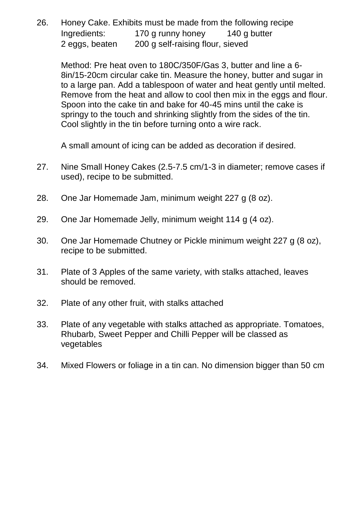26. Honey Cake. Exhibits must be made from the following recipe Ingredients: 170 g runny honey 140 g butter 2 eggs, beaten 200 g self-raising flour, sieved

Method: Pre heat oven to 180C/350F/Gas 3, butter and line a 6- 8in/15-20cm circular cake tin. Measure the honey, butter and sugar in to a large pan. Add a tablespoon of water and heat gently until melted. Remove from the heat and allow to cool then mix in the eggs and flour. Spoon into the cake tin and bake for 40-45 mins until the cake is springy to the touch and shrinking slightly from the sides of the tin. Cool slightly in the tin before turning onto a wire rack.

A small amount of icing can be added as decoration if desired.

- 27. Nine Small Honey Cakes (2.5-7.5 cm/1-3 in diameter; remove cases if used), recipe to be submitted.
- 28. One Jar Homemade Jam, minimum weight 227 g (8 oz).
- 29. One Jar Homemade Jelly, minimum weight 114 g (4 oz).
- 30. One Jar Homemade Chutney or Pickle minimum weight 227 g (8 oz), recipe to be submitted.
- 31. Plate of 3 Apples of the same variety, with stalks attached, leaves should be removed.
- 32. Plate of any other fruit, with stalks attached
- 33. Plate of any vegetable with stalks attached as appropriate. Tomatoes, Rhubarb, Sweet Pepper and Chilli Pepper will be classed as vegetables
- 34. Mixed Flowers or foliage in a tin can. No dimension bigger than 50 cm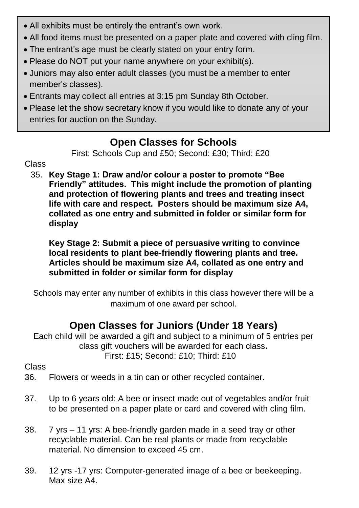- All exhibits must be entirely the entrant's own work.
- All food items must be presented on a paper plate and covered with cling film.
- The entrant's age must be clearly stated on your entry form.
- Please do NOT put your name anywhere on your exhibit(s).
- Juniors may also enter adult classes (you must be a member to enter member's classes).
- Entrants may collect all entries at 3:15 pm Sunday 8th October.
- Please let the show secretary know if you would like to donate any of your entries for auction on the Sunday.

## **Open Classes for Schools**

First: Schools Cup and £50; Second: £30; Third: £20

#### Class

35. **Key Stage 1: Draw and/or colour a poster to promote "Bee Friendly" attitudes. This might include the promotion of planting and protection of flowering plants and trees and treating insect life with care and respect. Posters should be maximum size A4, collated as one entry and submitted in folder or similar form for display**

**Key Stage 2: Submit a piece of persuasive writing to convince local residents to plant bee-friendly flowering plants and tree. Articles should be maximum size A4, collated as one entry and submitted in folder or similar form for display**

Schools may enter any number of exhibits in this class however there will be a maximum of one award per school.

## **Open Classes for Juniors (Under 18 Years)**

Each child will be awarded a gift and subject to a minimum of 5 entries per class gift vouchers will be awarded for each class**.** First: £15; Second: £10; Third: £10

#### Class

36. Flowers or weeds in a tin can or other recycled container.

- 37. Up to 6 years old: A bee or insect made out of vegetables and/or fruit to be presented on a paper plate or card and covered with cling film.
- 38. 7 yrs 11 yrs: A bee-friendly garden made in a seed tray or other recyclable material. Can be real plants or made from recyclable material. No dimension to exceed 45 cm.
- 39. 12 yrs -17 yrs: Computer-generated image of a bee or beekeeping. Max size A4.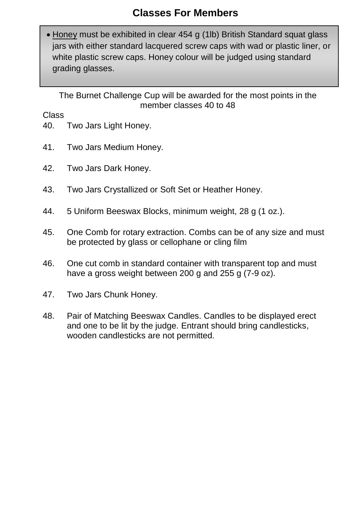## **Classes For Members**

 Honey must be exhibited in clear 454 g (1lb) British Standard squat glass jars with either standard lacquered screw caps with wad or plastic liner, or white plastic screw caps. Honey colour will be judged using standard grading glasses.

The Burnet Challenge Cup will be awarded for the most points in the member classes 40 to 48

Class

- 40. Two Jars Light Honey.
- 41. Two Jars Medium Honey.
- 42. Two Jars Dark Honey.
- 43. Two Jars Crystallized or Soft Set or Heather Honey.
- 44. 5 Uniform Beeswax Blocks, minimum weight, 28 g (1 oz.).
- 45. One Comb for rotary extraction. Combs can be of any size and must be protected by glass or cellophane or cling film
- 46. One cut comb in standard container with transparent top and must have a gross weight between 200 g and 255 g (7-9 oz).
- 47. Two Jars Chunk Honey.
- 48. Pair of Matching Beeswax Candles. Candles to be displayed erect and one to be lit by the judge. Entrant should bring candlesticks, wooden candlesticks are not permitted.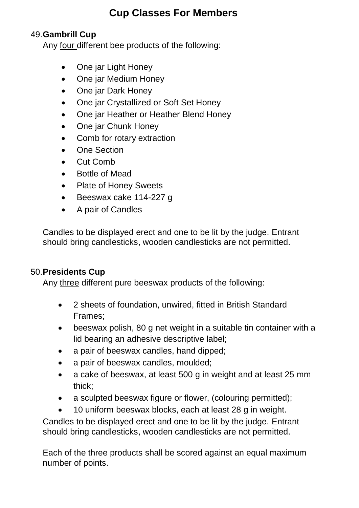## **Cup Classes For Members**

#### 49.**Gambrill Cup**

Any four different bee products of the following:

- One jar Light Honey
- One jar Medium Honey
- One jar Dark Honey
- One jar Crystallized or Soft Set Honey
- One jar Heather or Heather Blend Honey
- One jar Chunk Honey
- Comb for rotary extraction
- One Section
- Cut Comb
- Bottle of Mead
- Plate of Honey Sweets
- Beeswax cake 114-227 g
- A pair of Candles

Candles to be displayed erect and one to be lit by the judge. Entrant should bring candlesticks, wooden candlesticks are not permitted.

#### 50.**Presidents Cup**

Any three different pure beeswax products of the following:

- 2 sheets of foundation, unwired, fitted in British Standard Frames;
- beeswax polish, 80 g net weight in a suitable tin container with a lid bearing an adhesive descriptive label;
- a pair of beeswax candles, hand dipped;
- a pair of beeswax candles, moulded;
- a cake of beeswax, at least 500 g in weight and at least 25 mm thick;
- a sculpted beeswax figure or flower, (colouring permitted);
- 10 uniform beeswax blocks, each at least 28 g in weight.

Candles to be displayed erect and one to be lit by the judge. Entrant should bring candlesticks, wooden candlesticks are not permitted.

Each of the three products shall be scored against an equal maximum number of points.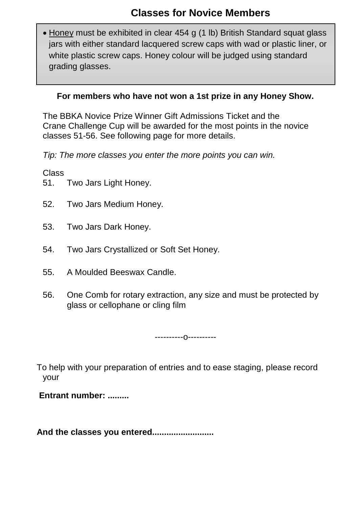• Honey must be exhibited in clear 454 g (1 lb) British Standard squat glass jars with either standard lacquered screw caps with wad or plastic liner, or white plastic screw caps. Honey colour will be judged using standard grading glasses.

#### **For members who have not won a 1st prize in any Honey Show.**

The BBKA Novice Prize Winner Gift Admissions Ticket and the Crane Challenge Cup will be awarded for the most points in the novice classes 51-56. See following page for more details.

*Tip: The more classes you enter the more points you can win.*

Class

- 51. Two Jars Light Honey.
- 52. Two Jars Medium Honey.
- 53. Two Jars Dark Honey.
- 54. Two Jars Crystallized or Soft Set Honey.
- 55. A Moulded Beeswax Candle.
- 56. One Comb for rotary extraction, any size and must be protected by glass or cellophane or cling film

----------o----------

To help with your preparation of entries and to ease staging, please record your

**Entrant number: .........**

**And the classes you entered..........................**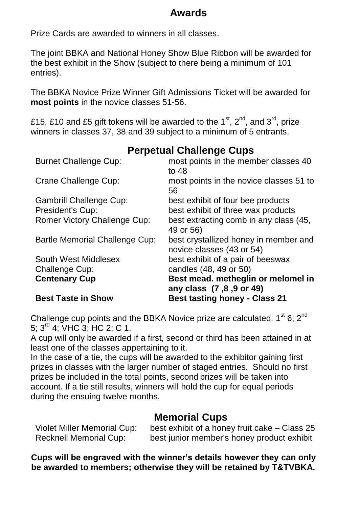#### **Awards**

Prize Cards are awarded to winners in all classes.

The joint BBKA and National Honey Show Blue Ribbon will be awarded for the best exhibit in the Show (subject to there being a minimum of 101 entries).

The BBKA Novice Prize Winner Gift Admissions Ticket will be awarded for **most points** in the novice classes 51-56.

£15, £10 and £5 gift tokens will be awarded to the 1<sup>st</sup>, 2<sup>nd</sup>, and 3<sup>rd</sup>, prize winners in classes 37, 38 and 39 subject to a minimum of 5 entrants.

## **Perpetual Challenge Cups**

| <b>Best Taste in Show</b>      | <b>Best tasting honey - Class 21</b>               |
|--------------------------------|----------------------------------------------------|
|                                | any class (7,8,9 or 49)                            |
| <b>Centenary Cup</b>           | Best mead. metheglin or melomel in                 |
| Challenge Cup:                 | candles (48, 49 or 50)                             |
| South West Middlesex           | best exhibit of a pair of beeswax                  |
|                                | novice classes (43 or 54)                          |
| Bartle Memorial Challenge Cup: | 49 or 56)<br>best crystallized honey in member and |
| Romer Victory Challenge Cup:   | best extracting comb in any class (45,             |
| President's Cup:               | best exhibit of three wax products                 |
| Gambrill Challenge Cup:        | best exhibit of four bee products                  |
|                                | 56                                                 |
| Crane Challenge Cup:           | to $48$<br>most points in the novice classes 51 to |
| <b>Burnet Challenge Cup:</b>   | most points in the member classes 40               |
|                                |                                                    |

Challenge cup points and the BBKA Novice prize are calculated:  $1^{\text{st}}$  6;  $2^{\text{nd}}$ 5; 3rd 4; VHC 3; HC 2; C 1.

A cup will only be awarded if a first, second or third has been attained in at least one of the classes appertaining to it.

In the case of a tie, the cups will be awarded to the exhibitor gaining first prizes in classes with the larger number of staged entries. Should no first prizes be included in the total points, second prizes will be taken into account. If a tie still results, winners will hold the cup for equal periods during the ensuing twelve months.

#### **Memorial Cups**

| Violet Miller Memorial Cup:   | best exhibit of a honey fruit cake - Class 25 |
|-------------------------------|-----------------------------------------------|
| <b>Recknell Memorial Cup:</b> | best junior member's honey product exhibit    |

**Cups will be engraved with the winner's details however they can only be awarded to members; otherwise they will be retained by T&TVBKA.**